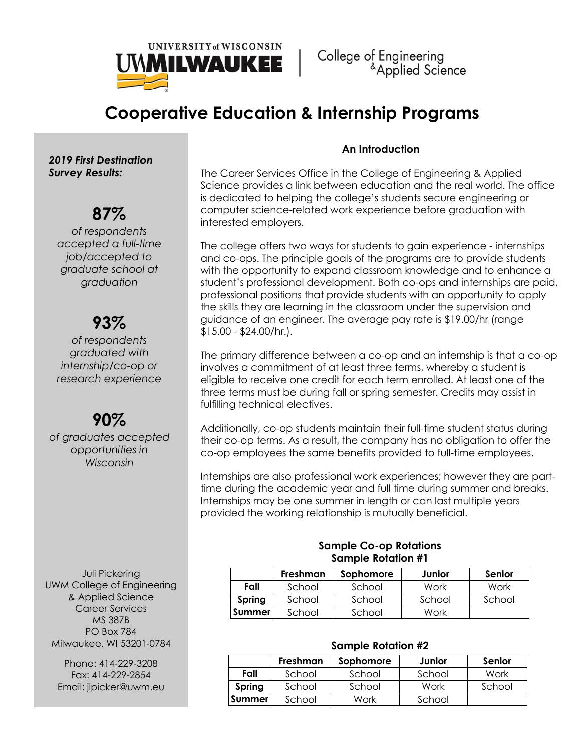

# Cooperative Education & Internship Programs

2019 First Destination Survey Results:

## 87%

of respondents accepted a full-time job/accepted to graduate school at graduation

## 93%

of respondents graduated with internship/co-op or research experience

## 90%

of graduates accepted opportunities in Wisconsin

Juli Pickering UWM College of Engineering & Applied Science Career Services MS 387B PO Box 784 Milwaukee, WI 53201-0784

Phone: 414-229-3208 Fax: 414-229-2854 Email: jlpicker@uwm.eu

### An Introduction

The Career Services Office in the College of Engineering & Applied Science provides a link between education and the real world. The office is dedicated to helping the college's students secure engineering or computer science-related work experience before graduation with interested employers.

The college offers two ways for students to gain experience - internships and co-ops. The principle goals of the programs are to provide students with the opportunity to expand classroom knowledge and to enhance a student's professional development. Both co-ops and internships are paid, professional positions that provide students with an opportunity to apply the skills they are learning in the classroom under the supervision and guidance of an engineer. The average pay rate is \$19.00/hr (range \$15.00 - \$24.00/hr.).

The primary difference between a co-op and an internship is that a co-op involves a commitment of at least three terms, whereby a student is eligible to receive one credit for each term enrolled. At least one of the three terms must be during fall or spring semester. Credits may assist in fulfilling technical electives.

Additionally, co-op students maintain their full-time student status during their co-op terms. As a result, the company has no obligation to offer the co-op employees the same benefits provided to full-time employees.

Internships are also professional work experiences; however they are parttime during the academic year and full time during summer and breaks. Internships may be one summer in length or can last multiple years provided the working relationship is mutually beneficial.

### Sample Co-op Rotations Sample Rotation #1

|               | Freshman | Sophomore | Junior | Senior |
|---------------|----------|-----------|--------|--------|
| Fall          | School   | School    | Work   | Work   |
| Spring        | School   | School    | School | School |
| <b>Summer</b> | School   | School    | Work   |        |

### Sample Rotation #2

|        | Freshman | Sophomore | Junior | Senior |
|--------|----------|-----------|--------|--------|
| Fall   | School   | School    | School | Work   |
| Spring | School   | School    | Work   | School |
| Summer | School   | Work      | School |        |